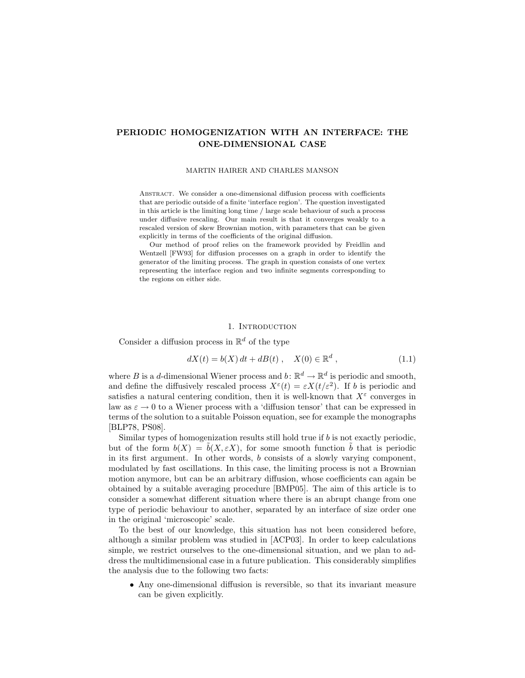# PERIODIC HOMOGENIZATION WITH AN INTERFACE: THE ONE-DIMENSIONAL CASE

### MARTIN HAIRER AND CHARLES MANSON

Abstract. We consider a one-dimensional diffusion process with coefficients that are periodic outside of a finite 'interface region'. The question investigated in this article is the limiting long time / large scale behaviour of such a process under diffusive rescaling. Our main result is that it converges weakly to a rescaled version of skew Brownian motion, with parameters that can be given explicitly in terms of the coefficients of the original diffusion.

Our method of proof relies on the framework provided by Freidlin and Wentzell [FW93] for diffusion processes on a graph in order to identify the generator of the limiting process. The graph in question consists of one vertex representing the interface region and two infinite segments corresponding to the regions on either side.

## 1. INTRODUCTION

Consider a diffusion process in  $\mathbb{R}^d$  of the type

$$
dX(t) = b(X) dt + dB(t), \quad X(0) \in \mathbb{R}^d,
$$
\n(1.1)

where B is a d-dimensional Wiener process and  $b: \mathbb{R}^d \to \mathbb{R}^d$  is periodic and smooth, and define the diffusively rescaled process  $X^{\varepsilon}(t) = \varepsilon X(t/\varepsilon^2)$ . If b is periodic and satisfies a natural centering condition, then it is well-known that  $X^{\varepsilon}$  converges in law as  $\varepsilon \to 0$  to a Wiener process with a 'diffusion tensor' that can be expressed in terms of the solution to a suitable Poisson equation, see for example the monographs [BLP78, PS08].

Similar types of homogenization results still hold true if b is not exactly periodic, but of the form  $b(X) = b(X, \varepsilon X)$ , for some smooth function b that is periodic in its first argument. In other words, b consists of a slowly varying component, modulated by fast oscillations. In this case, the limiting process is not a Brownian motion anymore, but can be an arbitrary diffusion, whose coefficients can again be obtained by a suitable averaging procedure [BMP05]. The aim of this article is to consider a somewhat different situation where there is an abrupt change from one type of periodic behaviour to another, separated by an interface of size order one in the original 'microscopic' scale.

To the best of our knowledge, this situation has not been considered before, although a similar problem was studied in [ACP03]. In order to keep calculations simple, we restrict ourselves to the one-dimensional situation, and we plan to address the multidimensional case in a future publication. This considerably simplifies the analysis due to the following two facts:

• Any one-dimensional diffusion is reversible, so that its invariant measure can be given explicitly.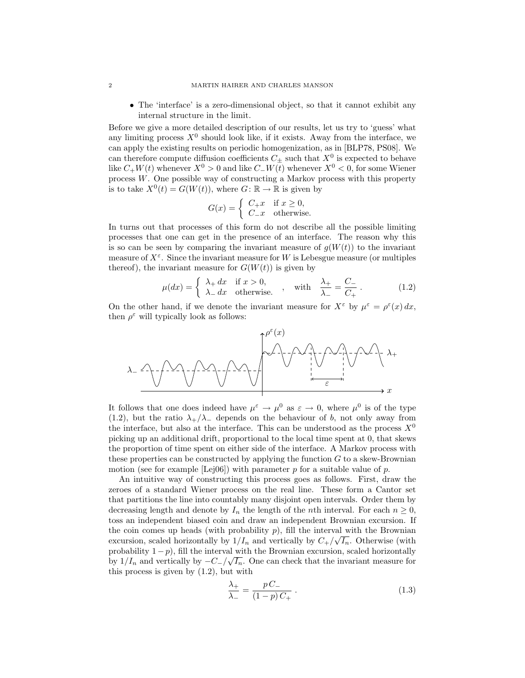• The 'interface' is a zero-dimensional object, so that it cannot exhibit any internal structure in the limit.

Before we give a more detailed description of our results, let us try to 'guess' what any limiting process  $X^0$  should look like, if it exists. Away from the interface, we can apply the existing results on periodic homogenization, as in [BLP78, PS08]. We can therefore compute diffusion coefficients  $C_{\pm}$  such that  $X^0$  is expected to behave like  $C_+W(t)$  whenever  $X^0 > 0$  and like  $C_-W(t)$  whenever  $X^0 < 0$ , for some Wiener process W. One possible way of constructing a Markov process with this property is to take  $X^0(t) = G(W(t))$ , where  $G: \mathbb{R} \to \mathbb{R}$  is given by

$$
G(x) = \begin{cases} C_{+}x & \text{if } x \ge 0, \\ C_{-}x & \text{otherwise.} \end{cases}
$$

In turns out that processes of this form do not describe all the possible limiting processes that one can get in the presence of an interface. The reason why this is so can be seen by comparing the invariant measure of  $g(W(t))$  to the invariant measure of  $X^{\varepsilon}$ . Since the invariant measure for W is Lebesgue measure (or multiples thereof), the invariant measure for  $G(W(t))$  is given by

$$
\mu(dx) = \begin{cases} \lambda_+ dx & \text{if } x > 0, \\ \lambda_- dx & \text{otherwise.} \end{cases}
$$
, with  $\frac{\lambda_+}{\lambda_-} = \frac{C_-}{C_+}$ . (1.2)

On the other hand, if we denote the invariant measure for  $X^{\varepsilon}$  by  $\mu^{\varepsilon} = \rho^{\varepsilon}(x) dx$ , then  $\rho^{\varepsilon}$  will typically look as follows:



It follows that one does indeed have  $\mu^{\varepsilon} \to \mu^0$  as  $\varepsilon \to 0$ , where  $\mu^0$  is of the type (1.2), but the ratio  $\lambda_+/\lambda_-$  depends on the behaviour of b, not only away from the interface, but also at the interface. This can be understood as the process  $X^0$ picking up an additional drift, proportional to the local time spent at 0, that skews the proportion of time spent on either side of the interface. A Markov process with these properties can be constructed by applying the function  $G$  to a skew-Brownian motion (see for example [Lej06]) with parameter p for a suitable value of p.

An intuitive way of constructing this process goes as follows. First, draw the zeroes of a standard Wiener process on the real line. These form a Cantor set that partitions the line into countably many disjoint open intervals. Order them by decreasing length and denote by  $I_n$  the length of the *n*th interval. For each  $n \geq 0$ , toss an independent biased coin and draw an independent Brownian excursion. If the coin comes up heads (with probability p), fill the interval with the Brownian excursion, scaled horizontally by  $1/I_n$  and vertically by  $C_+/\sqrt{I_n}$ . Otherwise (with probability  $1-p$ ), fill the interval with the Brownian excursion, scaled horizontally by  $1/I_n$  and vertically by  $-C_/\sqrt{I_n}$ . One can check that the invariant measure for this process is given by (1.2), but with

$$
\frac{\lambda_{+}}{\lambda_{-}} = \frac{pC_{-}}{(1-p)C_{+}}.
$$
\n
$$
(1.3)
$$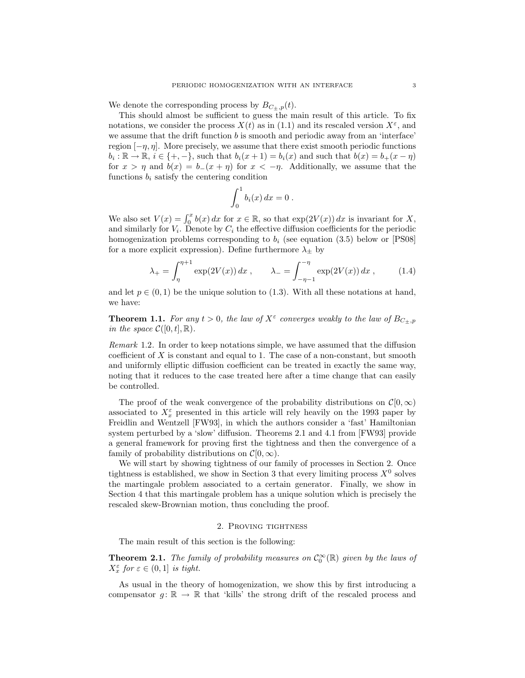We denote the corresponding process by  $B_{C_+,p}(t)$ .

This should almost be sufficient to guess the main result of this article. To fix notations, we consider the process  $X(t)$  as in (1.1) and its rescaled version  $X^{\varepsilon}$ , and we assume that the drift function  $b$  is smooth and periodic away from an 'interface' region  $[-\eta, \eta]$ . More precisely, we assume that there exist smooth periodic functions  $b_i: \mathbb{R} \to \mathbb{R}, i \in \{+, -\},\$  such that  $b_i(x + 1) = b_i(x)$  and such that  $b(x) = b_+(x - \eta)$ for  $x > \eta$  and  $b(x) = b_-(x + \eta)$  for  $x < -\eta$ . Additionally, we assume that the functions  $b_i$  satisfy the centering condition

$$
\int_0^1 b_i(x) dx = 0.
$$

We also set  $V(x) = \int_0^x b(x) dx$  for  $x \in \mathbb{R}$ , so that  $\exp(2V(x)) dx$  is invariant for X, and similarly for  $V_i$ . Denote by  $C_i$  the effective diffusion coefficients for the periodic homogenization problems corresponding to  $b_i$  (see equation (3.5) below or [PS08] for a more explicit expression). Define furthermore  $\lambda_{\pm}$  by

$$
\lambda_{+} = \int_{\eta}^{\eta + 1} \exp(2V(x)) dx , \qquad \lambda_{-} = \int_{-\eta - 1}^{-\eta} \exp(2V(x)) dx , \qquad (1.4)
$$

and let  $p \in (0, 1)$  be the unique solution to (1.3). With all these notations at hand, we have:

**Theorem 1.1.** For any  $t > 0$ , the law of  $X^{\varepsilon}$  converges weakly to the law of  $B_{C_{\pm},p}$ in the space  $\mathcal{C}([0,t],\mathbb{R})$ .

Remark 1.2. In order to keep notations simple, we have assumed that the diffusion coefficient of  $X$  is constant and equal to 1. The case of a non-constant, but smooth and uniformly elliptic diffusion coefficient can be treated in exactly the same way, noting that it reduces to the case treated here after a time change that can easily be controlled.

The proof of the weak convergence of the probability distributions on  $\mathcal{C}[0,\infty)$ associated to  $X_x^{\varepsilon}$  presented in this article will rely heavily on the 1993 paper by Freidlin and Wentzell [FW93], in which the authors consider a 'fast' Hamiltonian system perturbed by a 'slow' diffusion. Theorems 2.1 and 4.1 from [FW93] provide a general framework for proving first the tightness and then the convergence of a family of probability distributions on  $\mathcal{C}[0,\infty)$ .

We will start by showing tightness of our family of processes in Section 2. Once tightness is established, we show in Section 3 that every limiting process  $X^0$  solves the martingale problem associated to a certain generator. Finally, we show in Section 4 that this martingale problem has a unique solution which is precisely the rescaled skew-Brownian motion, thus concluding the proof.

## 2. Proving tightness

The main result of this section is the following:

**Theorem 2.1.** The family of probability measures on  $C_0^{\infty}(\mathbb{R})$  given by the laws of  $X_x^{\varepsilon}$  for  $\varepsilon \in (0,1]$  is tight.

As usual in the theory of homogenization, we show this by first introducing a compensator  $g: \mathbb{R} \to \mathbb{R}$  that 'kills' the strong drift of the rescaled process and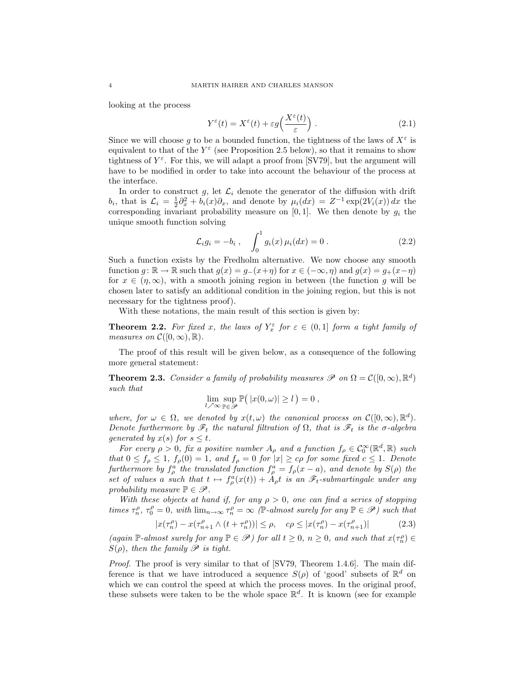looking at the process

$$
Y^{\varepsilon}(t) = X^{\varepsilon}(t) + \varepsilon g\left(\frac{X^{\varepsilon}(t)}{\varepsilon}\right). \tag{2.1}
$$

Since we will choose g to be a bounded function, the tightness of the laws of  $X^{\varepsilon}$  is equivalent to that of the  $Y^{\varepsilon}$  (see Proposition 2.5 below), so that it remains to show tightness of  $Y^{\varepsilon}$ . For this, we will adapt a proof from [SV79], but the argument will have to be modified in order to take into account the behaviour of the process at the interface.

In order to construct g, let  $\mathcal{L}_i$  denote the generator of the diffusion with drift  $b_i$ , that is  $\mathcal{L}_i = \frac{1}{2}\partial_x^2 + b_i(x)\partial_x$ , and denote by  $\mu_i(dx) = Z^{-1} \exp(2V_i(x)) dx$  the corresponding invariant probability measure on  $[0, 1]$ . We then denote by  $g_i$  the unique smooth function solving

$$
\mathcal{L}_i g_i = -b_i , \quad \int_0^1 g_i(x) \,\mu_i(dx) = 0 . \tag{2.2}
$$

Such a function exists by the Fredholm alternative. We now choose any smooth function  $g: \mathbb{R} \to \mathbb{R}$  such that  $g(x) = g_-(x+\eta)$  for  $x \in (-\infty, \eta)$  and  $g(x) = g_+(x-\eta)$ for  $x \in (n, \infty)$ , with a smooth joining region in between (the function q will be chosen later to satisfy an additional condition in the joining region, but this is not necessary for the tightness proof).

With these notations, the main result of this section is given by:

**Theorem 2.2.** For fixed x, the laws of  $Y_x^{\varepsilon}$  for  $\varepsilon \in (0,1]$  form a tight family of measures on  $\mathcal{C}([0,\infty),\mathbb{R})$ .

The proof of this result will be given below, as a consequence of the following more general statement:

**Theorem 2.3.** Consider a family of probability measures  $\mathscr P$  on  $\Omega = \mathcal C([0,\infty), \mathbb R^d)$ such that

$$
\lim_{l \nearrow \infty} \sup_{\mathbb{P} \in \mathcal{P}} \mathbb{P}(|x(0,\omega)| \geq l) = 0,
$$

where, for  $\omega \in \Omega$ , we denoted by  $x(t, \omega)$  the canonical process on  $\mathcal{C}([0, \infty), \mathbb{R}^d)$ . Denote furthermore by  $\mathscr{F}_t$  the natural filtration of  $\Omega$ , that is  $\mathscr{F}_t$  is the  $\sigma$ -algebra generated by  $x(s)$  for  $s \leq t$ .

For every  $\rho > 0$ , fix a positive number  $A_{\rho}$  and a function  $f_{\rho} \in C_0^{\infty}(\mathbb{R}^d, \mathbb{R})$  such that  $0 \le f_\rho \le 1$ ,  $f_\rho(0) = 1$ , and  $f_\rho = 0$  for  $|x| \ge c\rho$  for some fixed  $c \le 1$ . Denote furthermore by  $f_{\rho}^a$  the translated function  $f_{\rho}^a = f_{\rho}(x-a)$ , and denote by  $S(\rho)$  the set of values a such that  $t \mapsto f_{\rho}^{a}(x(t)) + A_{\rho}t$  is an  $\mathscr{F}_{t}$ -submartingale under any probability measure  $\mathbb{P} \in \mathscr{P}$ .

With these objects at hand if, for any  $\rho > 0$ , one can find a series of stopping times  $\tau_n^{\rho}, \tau_0^{\rho} = 0$ , with  $\lim_{n \to \infty} \tau_n^{\rho} = \infty$  (P-almost surely for any  $\mathbb{P} \in \mathscr{P}$ ) such that

$$
|x(\tau_n^{\rho}) - x(\tau_{n+1}^{\rho} \wedge (t + \tau_n^{\rho}))| \le \rho, \quad c\rho \le |x(\tau_n^{\rho}) - x(\tau_{n+1}^{\rho})| \tag{2.3}
$$

(again P-almost surely for any  $\mathbb{P} \in \mathscr{P}$ ) for all  $t \geq 0$ ,  $n \geq 0$ , and such that  $x(\tau_n^{\rho}) \in$  $S(\rho)$ , then the family  $\mathscr P$  is tight.

Proof. The proof is very similar to that of [SV79, Theorem 1.4.6]. The main difference is that we have introduced a sequence  $S(\rho)$  of 'good' subsets of  $\mathbb{R}^d$  on which we can control the speed at which the process moves. In the original proof, these subsets were taken to be the whole space  $\mathbb{R}^d$ . It is known (see for example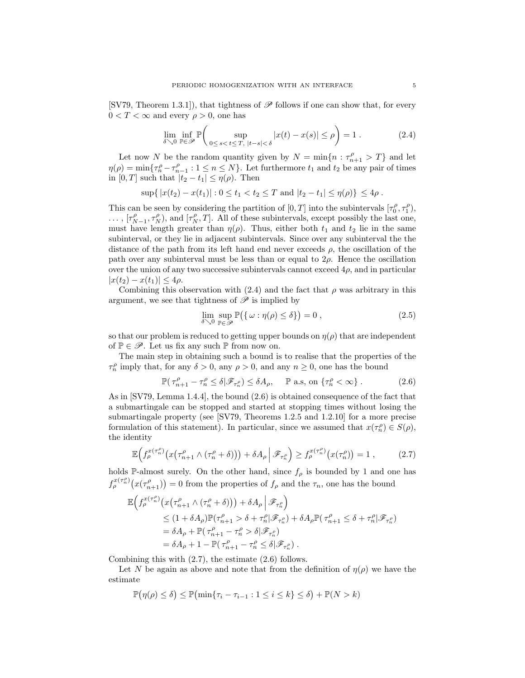[SV79, Theorem 1.3.1]), that tightness of  $\mathscr P$  follows if one can show that, for every  $0 < T < \infty$  and every  $\rho > 0$ , one has

$$
\lim_{\delta \searrow 0} \inf_{\mathbb{P} \in \mathcal{P}} \mathbb{P}\left(\sup_{0 \le s < t \le T, \ |t - s| < \delta} |x(t) - x(s)| \le \rho\right) = 1. \tag{2.4}
$$

Let now N be the random quantity given by  $N = \min\{n : \tau_{n+1}^{\rho} > T\}$  and let  $\eta(\rho) = \min\{\tau_n^{\rho} - \tau_{n-1}^{\rho} : 1 \leq n \leq N\}.$  Let furthermore  $t_1$  and  $t_2$  be any pair of times in [0, T] such that  $|t_2 - t_1| \leq \eta(\rho)$ . Then

$$
\sup\{|x(t_2)-x(t_1)| : 0 \le t_1 < t_2 \le T \text{ and } |t_2-t_1| \le \eta(\rho)\} \le 4\rho.
$$

This can be seen by considering the partition of  $[0, T]$  into the subintervals  $[\tau_0^{\rho}, \tau_1^{\rho}),$  $\ldots$ ,  $[\tau_{N-1}^{\rho}, \tau_N^{\rho})$ , and  $[\tau_N^{\rho}, T]$ . All of these subintervals, except possibly the last one, must have length greater than  $\eta(\rho)$ . Thus, either both  $t_1$  and  $t_2$  lie in the same subinterval, or they lie in adjacent subintervals. Since over any subinterval the the distance of the path from its left hand end never exceeds  $\rho$ , the oscillation of the path over any subinterval must be less than or equal to  $2\rho$ . Hence the oscillation over the union of any two successive subintervals cannot exceed  $4\rho$ , and in particular  $|x(t_2) - x(t_1)| \leq 4\rho$ .

Combining this observation with (2.4) and the fact that  $\rho$  was arbitrary in this argument, we see that tightness of  $\mathscr P$  is implied by

$$
\lim_{\delta \searrow 0} \sup_{\mathbb{P} \in \mathcal{P}} \mathbb{P}(\{\omega : \eta(\rho) \le \delta\}) = 0 ,
$$
\n(2.5)

so that our problem is reduced to getting upper bounds on  $\eta(\rho)$  that are independent of  $\mathbb{P} \in \mathscr{P}$ . Let us fix any such  $\mathbb{P}$  from now on.

The main step in obtaining such a bound is to realise that the properties of the  $\tau_n^{\rho}$  imply that, for any  $\delta > 0$ , any  $\rho > 0$ , and any  $n \ge 0$ , one has the bound

$$
\mathbb{P}(\tau_{n+1}^{\rho} - \tau_n^{\rho} \le \delta | \mathscr{F}_{\tau_n^{\rho}}) \le \delta A_{\rho}, \quad \mathbb{P} \text{ a.s, on } \{\tau_n^{\rho} < \infty\} .
$$
 (2.6)

As in [SV79, Lemma 1.4.4], the bound (2.6) is obtained consequence of the fact that a submartingale can be stopped and started at stopping times without losing the submartingale property (see [SV79, Theorems 1.2.5 and 1.2.10] for a more precise formulation of this statement). In particular, since we assumed that  $x(\tau_n^{\rho}) \in S(\rho)$ , the identity

$$
\mathbb{E}\Big(f_{\rho}^{x(\tau_n^{\rho})}\big(x(\tau_{n+1}^{\rho}\wedge(\tau_n^{\rho}+\delta)\big)\big)+\delta A_{\rho}\Big|\mathscr{F}_{\tau_n^{\rho}}\Big)\geq f_{\rho}^{x(\tau_n^{\rho})}\big(x(\tau_n^{\rho})\big)=1\;, \tag{2.7}
$$

holds P-almost surely. On the other hand, since  $f_{\rho}$  is bounded by 1 and one has  $f_{\rho}^{x(\tau_n^{\rho})}(x(\tau_{n+1}^{\rho}))=0$  from the properties of  $f_{\rho}$  and the  $\tau_n$ , one has the bound

$$
\mathbb{E}\Big(f^{\mathcal{X}(\tau_n^{\rho})}_\rho\big(x\big(\tau_{n+1}^{\rho}\wedge(\tau_n^{\rho}+\delta)\big)\big)+\delta A_\rho\Big|\mathscr{F}_{\tau_n^{\rho}}\Big)\\qquad \qquad \leq (1+\delta A_\rho)\mathbb{P}(\tau_{n+1}^{\rho}>\delta+\tau_n^{\rho}|\mathscr{F}_{\tau_n^{\rho}})+\delta A_\rho\mathbb{P}(\tau_{n+1}^{\rho}\leq \delta+\tau_n^{\rho}|\mathscr{F}_{\tau_n^{\rho}})\\qquad \qquad =\delta A_\rho+\mathbb{P}(\tau_{n+1}^{\rho}-\tau_n^{\rho}>\delta|\mathscr{F}_{\tau_n^{\rho}})\\qquad \qquad =\delta A_\rho+1-\mathbb{P}(\tau_{n+1}^{\rho}-\tau_n^{\rho}\leq \delta|\mathscr{F}_{\tau_n^{\rho}})\ .
$$

Combining this with (2.7), the estimate (2.6) follows.

Let N be again as above and note that from the definition of  $\eta(\rho)$  we have the estimate

$$
\mathbb{P}(\eta(\rho) \le \delta) \le \mathbb{P}(\min\{\tau_i - \tau_{i-1} : 1 \le i \le k\} \le \delta) + \mathbb{P}(N > k)
$$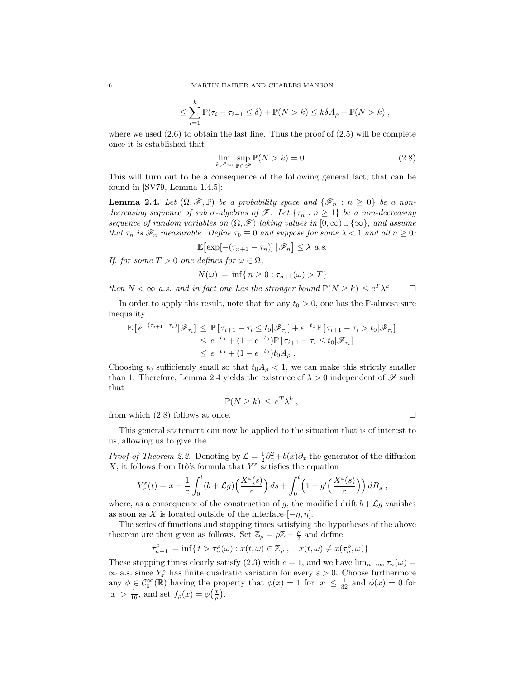$$
\leq \sum_{i=1}^k \mathbb{P}(\tau_i - \tau_{i-1} \leq \delta) + \mathbb{P}(N > k) \leq k \delta A_\rho + \mathbb{P}(N > k) ,
$$

where we used  $(2.6)$  to obtain the last line. Thus the proof of  $(2.5)$  will be complete once it is established that

$$
\lim_{k \nearrow \infty} \sup_{\mathbb{P} \in \mathcal{P}} \mathbb{P}(N > k) = 0.
$$
\n(2.8)

This will turn out to be a consequence of the following general fact, that can be found in [SV79, Lemma 1.4.5]:

**Lemma 2.4.** Let  $(\Omega, \mathscr{F}, \mathbb{P})$  be a probability space and  $\{\mathscr{F}_n : n \geq 0\}$  be a nondecreasing sequence of sub  $\sigma$ -algebras of  $\mathscr{F}$ . Let  $\{\tau_n : n \geq 1\}$  be a non-decreasing sequence of random variables on  $(\Omega, \mathscr{F})$  taking values in  $[0, \infty) \cup {\infty}$ , and assume that  $\tau_n$  is  $\mathscr{F}_n$  measurable. Define  $\tau_0 \equiv 0$  and suppose for some  $\lambda < 1$  and all  $n \geq 0$ :

$$
\mathbb{E}\big[\exp[-(\tau_{n+1}-\tau_n)]\,|\,\mathscr{F}_n\big]\leq\lambda\ a.s.
$$

If, for some  $T > 0$  one defines for  $\omega \in \Omega$ ,

$$
N(\omega) = \inf\{n \ge 0 : \tau_{n+1}(\omega) > T\}
$$

then  $N < \infty$  a.s. and in fact one has the stronger bound  $\mathbb{P}(N \geq k) \leq e^T \lambda^k$  $\Box$ 

In order to apply this result, note that for any  $t_0 > 0$ , one has the P-almost sure inequality

$$
\mathbb{E}\left[e^{-(\tau_{i+1}-\tau_i)}|\mathscr{F}_{\tau_i}\right] \leq \mathbb{P}\left[\tau_{i+1}-\tau_i \leq t_0|\mathscr{F}_{\tau_i}\right] + e^{-t_0}\mathbb{P}\left[\tau_{i+1}-\tau_i > t_0|\mathscr{F}_{\tau_i}\right] \n\leq e^{-t_0} + (1 - e^{-t_0})\mathbb{P}\left[\tau_{i+1}-\tau_i \leq t_0|\mathscr{F}_{\tau_i}\right] \n\leq e^{-t_0} + (1 - e^{-t_0})t_0A_\rho.
$$

Choosing  $t_0$  sufficiently small so that  $t_0A_\rho < 1$ , we can make this strictly smaller than 1. Therefore, Lemma 2.4 yields the existence of  $\lambda > 0$  independent of  $\mathscr P$  such that

$$
\mathbb{P}(N \geq k) \leq e^T \lambda^k ,
$$

from which (2.8) follows at once.

This general statement can now be applied to the situation that is of interest to us, allowing us to give the

*Proof of Theorem 2.2.* Denoting by  $\mathcal{L} = \frac{1}{2}\partial_x^2 + b(x)\partial_x$  the generator of the diffusion X, it follows from Itô's formula that  $Y^{\varepsilon}$  satisfies the equation

$$
Y_x^{\varepsilon}(t) = x + \frac{1}{\varepsilon} \int_0^t (b + \mathcal{L}g) \left( \frac{X^{\varepsilon}(s)}{\varepsilon} \right) ds + \int_0^t \left( 1 + g' \left( \frac{X^{\varepsilon}(s)}{\varepsilon} \right) \right) dB_s,
$$

where, as a consequence of the construction of g, the modified drift  $b + \mathcal{L}g$  vanishes as soon as X is located outside of the interface  $[-\eta, \eta]$ .

The series of functions and stopping times satisfying the hypotheses of the above theorem are then given as follows. Set  $\mathbb{Z}_{\rho} = \rho \mathbb{Z} + \frac{\rho}{2}$  and define

$$
\tau_{n+1}^{\rho} = \inf\{ t > \tau_n^{\rho}(\omega) : x(t,\omega) \in \mathbb{Z}_{\rho}, \quad x(t,\omega) \neq x(\tau_n^{\rho}, \omega) \}.
$$

These stopping times clearly satisfy (2.3) with  $c = 1$ , and we have  $\lim_{n\to\infty} \tau_n(\omega) =$  $\infty$  a.s. since  $Y_x^{\varepsilon}$  has finite quadratic variation for every  $\varepsilon > 0$ . Choose furthermore any  $\phi \in C_0^{\infty}(\mathbb{R})$  having the property that  $\phi(x) = 1$  for  $|x| \leq \frac{1}{32}$  and  $\phi(x) = 0$  for  $|x| > \frac{1}{16}$ , and set  $f_{\rho}(x) = \phi(\frac{x}{\rho}).$ 

$$
\sqcup
$$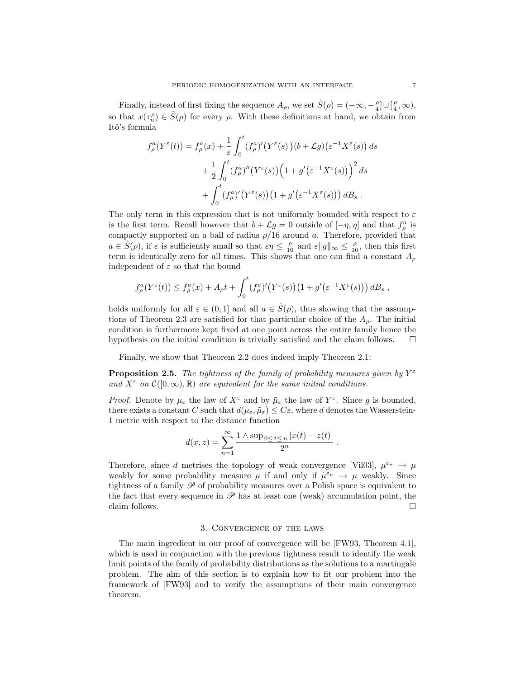Finally, instead of first fixing the sequence  $A_{\rho}$ , we set  $\tilde{S}(\rho) = (-\infty, -\frac{\rho}{4}] \cup [\frac{\rho}{4}, \infty)$ , so that  $x(\tau_n^{\rho}) \in \tilde{S}(\rho)$  for every  $\rho$ . With these definitions at hand, we obtain from Itô's formula

$$
f_{\rho}^{a}(Y^{\varepsilon}(t)) = f_{\rho}^{a}(x) + \frac{1}{\varepsilon} \int_{0}^{t} (f_{\rho}^{a})'(Y^{\varepsilon}(s))(b + \mathcal{L}g)(\varepsilon^{-1}X^{\varepsilon}(s)) ds
$$
  
+ 
$$
\frac{1}{2} \int_{0}^{t} (f_{\rho}^{a})''(Y^{\varepsilon}(s)) (1 + g'(\varepsilon^{-1}X^{\varepsilon}(s)))^{2} ds
$$
  
+ 
$$
\int_{0}^{t} (f_{\rho}^{a})'(Y^{\varepsilon}(s))(1 + g'(\varepsilon^{-1}X^{\varepsilon}(s))) dB_{s}.
$$

The only term in this expression that is not uniformly bounded with respect to  $\varepsilon$ is the first term. Recall however that  $b + \mathcal{L}g = 0$  outside of  $[-\eta, \eta]$  and that  $f_{\rho}^a$  is compactly supported on a ball of radius  $\rho/16$  around a. Therefore, provided that  $a \in \tilde{S}(\rho)$ , if  $\varepsilon$  is sufficiently small so that  $\varepsilon \eta \leq \frac{\rho}{16}$  and  $\varepsilon ||g||_{\infty} \leq \frac{\rho}{16}$ , then this first term is identically zero for all times. This shows that one can find a constant  $A_{\rho}$ independent of  $\varepsilon$  so that the bound

$$
f_{\rho}^{a}(Y^{\varepsilon}(t)) \le f_{\rho}^{a}(x) + A_{\rho}t + \int_{0}^{t} (f_{\rho}^{a})'(Y^{\varepsilon}(s)) (1 + g'(\varepsilon^{-1}X^{\varepsilon}(s))) dB_{s},
$$

holds uniformly for all  $\varepsilon \in (0,1]$  and all  $a \in \tilde{S}(\rho)$ , thus showing that the assumptions of Theorem 2.3 are satisfied for that particular choice of the  $A_{\rho}$ . The initial condition is furthermore kept fixed at one point across the entire family hence the hypothesis on the initial condition is trivially satisfied and the claim follows.  $\Box$ 

Finally, we show that Theorem 2.2 does indeed imply Theorem 2.1:

**Proposition 2.5.** The tightness of the family of probability measures given by  $Y^{\varepsilon}$ and  $X^{\varepsilon}$  on  $\mathcal{C}([0,\infty),\mathbb{R})$  are equivalent for the same initial conditions.

*Proof.* Denote by  $\mu_{\varepsilon}$  the law of  $X^{\varepsilon}$  and by  $\tilde{\mu}_{\varepsilon}$  the law of  $Y^{\varepsilon}$ . Since g is bounded, there exists a constant C such that  $d(\mu_{\varepsilon}, \tilde{\mu}_{\varepsilon}) \leq C_{\varepsilon}$ , where d denotes the Wasserstein-1 metric with respect to the distance function

$$
d(x, z) = \sum_{n=1}^{\infty} \frac{1 \wedge \sup_{0 \le t \le n} |x(t) - z(t)|}{2^n}.
$$

Therefore, since d metrises the topology of weak convergence [Vil03],  $\mu^{\varepsilon_n} \to \mu$ weakly for some probability measure  $\mu$  if and only if  $\tilde{\mu}^{\varepsilon_n} \to \mu$  weakly. Since tightness of a family  $\mathscr P$  of probability measures over a Polish space is equivalent to the fact that every sequence in  $\mathscr P$  has at least one (weak) accumulation point, the claim follows.  $\Box$ 

#### 3. Convergence of the laws

The main ingredient in our proof of convergence will be [FW93, Theorem 4.1], which is used in conjunction with the previous tightness result to identify the weak limit points of the family of probability distributions as the solutions to a martingale problem. The aim of this section is to explain how to fit our problem into the framework of [FW93] and to verify the assumptions of their main convergence theorem.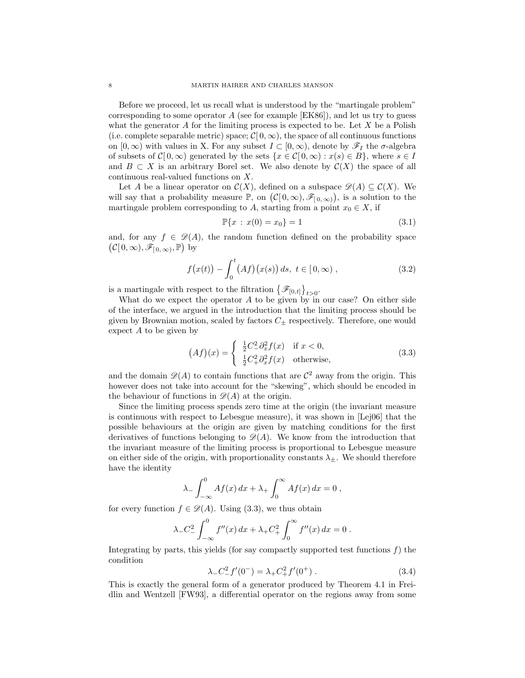Before we proceed, let us recall what is understood by the "martingale problem" corresponding to some operator  $A$  (see for example  $[EK86]$ ), and let us try to guess what the generator  $A$  for the limiting process is expected to be. Let  $X$  be a Polish (i.e. complete separable metric) space;  $\mathcal{C}[0,\infty)$ , the space of all continuous functions on  $[0, \infty)$  with values in X. For any subset  $I \subset [0, \infty)$ , denote by  $\mathscr{F}_I$  the  $\sigma$ -algebra of subsets of  $C[0,\infty)$  generated by the sets  $\{x \in C[0,\infty) : x(s) \in B\}$ , where  $s \in I$ and  $B \subset X$  is an arbitrary Borel set. We also denote by  $\mathcal{C}(X)$  the space of all continuous real-valued functions on X.

Let A be a linear operator on  $\mathcal{C}(X)$ , defined on a subspace  $\mathscr{D}(A) \subseteq \mathcal{C}(X)$ . We will say that a probability measure  $\mathbb{P}$ , on  $(C[0,\infty), \mathscr{F}_{[0,\infty)})$ , is a solution to the martingale problem corresponding to A, starting from a point  $x_0 \in X$ , if

$$
\mathbb{P}\{x \,:\, x(0) = x_0\} = 1\tag{3.1}
$$

and, for any  $f \in \mathcal{D}(A)$ , the random function defined on the probability space  $(C[0,\infty), \mathscr{F}_{[0,\infty)}, \mathbb{P})$  by

$$
f(x(t)) - \int_0^t (Af)(x(s)) ds, \ t \in [0, \infty), \qquad (3.2)
$$

is a martingale with respect to the filtration  $\{\mathscr{F}_{[0,t]}\}_{t>0}$ .

What do we expect the operator A to be given by in our case? On either side of the interface, we argued in the introduction that the limiting process should be given by Brownian motion, scaled by factors  $C_{\pm}$  respectively. Therefore, one would expect A to be given by

$$
(Af)(x) = \begin{cases} \frac{1}{2}C_{-}^{2}\partial_{x}^{2}f(x) & \text{if } x < 0, \\ \frac{1}{2}C_{+}^{2}\partial_{x}^{2}f(x) & \text{otherwise,} \end{cases}
$$
(3.3)

and the domain  $\mathscr{D}(A)$  to contain functions that are  $\mathcal{C}^2$  away from the origin. This however does not take into account for the "skewing", which should be encoded in the behaviour of functions in  $\mathscr{D}(A)$  at the origin.

Since the limiting process spends zero time at the origin (the invariant measure is continuous with respect to Lebesgue measure), it was shown in [Lej06] that the possible behaviours at the origin are given by matching conditions for the first derivatives of functions belonging to  $\mathcal{D}(A)$ . We know from the introduction that the invariant measure of the limiting process is proportional to Lebesgue measure on either side of the origin, with proportionality constants  $\lambda_{\pm}$ . We should therefore have the identity

$$
\lambda_- \int_{-\infty}^0 Af(x) dx + \lambda_+ \int_0^\infty Af(x) dx = 0,
$$

for every function  $f \in \mathscr{D}(A)$ . Using (3.3), we thus obtain

$$
\lambda_- C_-^2 \int_{-\infty}^0 f''(x) \, dx + \lambda_+ C_+^2 \int_0^\infty f''(x) \, dx = 0 \, .
$$

Integrating by parts, this yields (for say compactly supported test functions  $f$ ) the condition

$$
\lambda_- C_-^2 f'(0^-) = \lambda_+ C_+^2 f'(0^+).
$$
\n(3.4)

This is exactly the general form of a generator produced by Theorem 4.1 in Freidlin and Wentzell [FW93], a differential operator on the regions away from some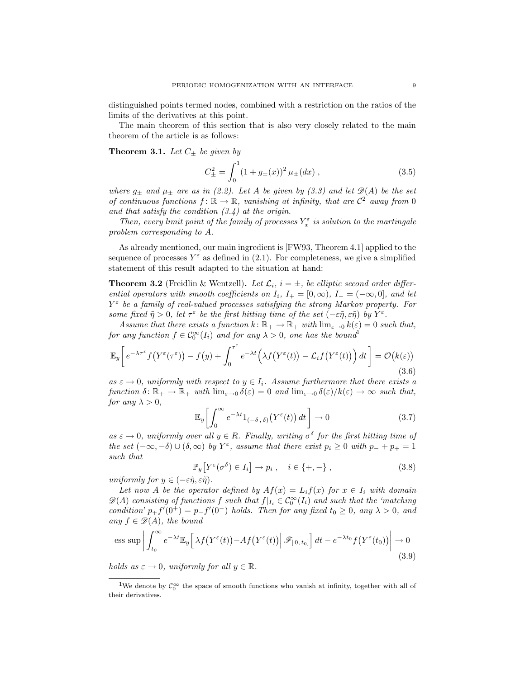distinguished points termed nodes, combined with a restriction on the ratios of the limits of the derivatives at this point.

The main theorem of this section that is also very closely related to the main theorem of the article is as follows:

**Theorem 3.1.** Let  $C_{\pm}$  be given by

$$
C_{\pm}^{2} = \int_{0}^{1} (1 + g_{\pm}(x))^{2} \mu_{\pm}(dx) , \qquad (3.5)
$$

where  $g_{\pm}$  and  $\mu_{\pm}$  are as in (2.2). Let A be given by (3.3) and let  $\mathscr{D}(A)$  be the set of continuous functions  $f: \mathbb{R} \to \mathbb{R}$ , vanishing at infinity, that are  $\mathcal{C}^2$  away from 0 and that satisfy the condition  $(3.4)$  at the origin.

Then, every limit point of the family of processes  $Y_x^{\varepsilon}$  is solution to the martingale problem corresponding to A.

As already mentioned, our main ingredient is [FW93, Theorem 4.1] applied to the sequence of processes  $Y^{\varepsilon}$  as defined in (2.1). For completeness, we give a simplified statement of this result adapted to the situation at hand:

**Theorem 3.2** (Freidlin & Wentzell). Let  $\mathcal{L}_i$ ,  $i = \pm$ , be elliptic second order differential operators with smooth coefficients on  $I_i$ ,  $I_+ = [0, \infty)$ ,  $I_- = (-\infty, 0]$ , and let  $Y^{\varepsilon}$  be a family of real-valued processes satisfying the strong Markov property. For some fixed  $\tilde{\eta} > 0$ , let  $\tau^{\varepsilon}$  be the first hitting time of the set  $(-\varepsilon \tilde{\eta}, \varepsilon \tilde{\eta})$  by  $Y^{\varepsilon}$ .

Assume that there exists a function  $k: \mathbb{R}_+ \to \mathbb{R}_+$  with  $\lim_{\varepsilon \to 0} k(\varepsilon) = 0$  such that, for any function  $f \in \mathcal{C}_0^{\infty}(I_i)$  and for any  $\lambda > 0$ , one has the bound<sup>1</sup>

$$
\mathbb{E}_{y}\bigg[e^{-\lambda\tau^{\varepsilon}}f(Y^{\varepsilon}(\tau^{\varepsilon})) - f(y) + \int_{0}^{\tau^{\varepsilon}} e^{-\lambda t} \Big(\lambda f(Y^{\varepsilon}(t)) - \mathcal{L}_{i}f(Y^{\varepsilon}(t))\Big) dt\bigg] = \mathcal{O}(k(\varepsilon))\tag{3.6}
$$

as  $\varepsilon \to 0$ , uniformly with respect to  $y \in I_i$ . Assume furthermore that there exists a function  $\delta \colon \mathbb{R}_+ \to \mathbb{R}_+$  with  $\lim_{\varepsilon \to 0} \delta(\varepsilon) = 0$  and  $\lim_{\varepsilon \to 0} \delta(\varepsilon)/k(\varepsilon) \to \infty$  such that, for any  $\lambda > 0$ .

$$
\mathbb{E}_y \left[ \int_0^\infty e^{-\lambda t} 1_{(-\delta,\delta)}(Y^{\varepsilon}(t)) dt \right] \to 0 \tag{3.7}
$$

as  $\varepsilon \to 0$ , uniformly over all  $y \in R$ . Finally, writing  $\sigma^{\delta}$  for the first hitting time of the set  $(-\infty, -\delta) \cup (\delta, \infty)$  by  $Y^{\varepsilon}$ , assume that there exist  $p_i \geq 0$  with  $p_- + p_+ = 1$ such that

$$
\mathbb{P}_y \left[ Y^{\varepsilon}(\sigma^{\delta}) \in I_i \right] \to p_i \,, \quad i \in \{+, -\}, \tag{3.8}
$$

uniformly for  $y \in (-\varepsilon \tilde{\eta}, \varepsilon \tilde{\eta}).$ 

Let now A be the operator defined by  $Af(x) = L_i f(x)$  for  $x \in I_i$  with domain  $\mathscr{D}(A)$  consisting of functions f such that  $f|_{I_i} \in \mathcal{C}_0^{\infty}(I_i)$  and such that the 'matching' condition'  $p_+ f'(0^+) = p_- f'(0^-)$  holds. Then for any fixed  $t_0 \geq 0$ , any  $\lambda > 0$ , and any  $f \in \mathcal{D}(A)$ , the bound

ess sup 
$$
\left| \int_{t_0}^{\infty} e^{-\lambda t} \mathbb{E}_y \left[ \lambda f(Y^{\varepsilon}(t)) - Af(Y^{\varepsilon}(t)) \right| \mathcal{F}_{[0, t_0]} \right] dt - e^{-\lambda t_0} f(Y^{\varepsilon}(t_0)) \right| \to 0
$$
 (3.9)

holds as  $\varepsilon \to 0$ , uniformly for all  $y \in \mathbb{R}$ .

<sup>&</sup>lt;sup>1</sup>We denote by  $\mathcal{C}_0^{\infty}$  the space of smooth functions who vanish at infinity, together with all of their derivatives.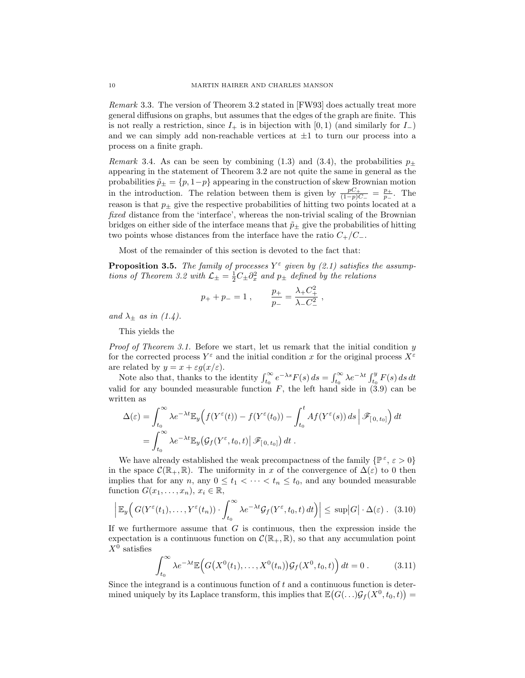Remark 3.3. The version of Theorem 3.2 stated in [FW93] does actually treat more general diffusions on graphs, but assumes that the edges of the graph are finite. This is not really a restriction, since  $I_+$  is in bijection with [0, 1) (and similarly for  $I_-$ ) and we can simply add non-reachable vertices at  $\pm 1$  to turn our process into a process on a finite graph.

*Remark* 3.4. As can be seen by combining (1.3) and (3.4), the probabilities  $p_{\pm}$ appearing in the statement of Theorem 3.2 are not quite the same in general as the probabilities  $\tilde{p}_{\pm} = \{p, 1-p\}$  appearing in the construction of skew Brownian motion in the introduction. The relation between them is given by  $\frac{pC_+}{(1-p)C_-} = \frac{p_+}{p_-}$  $\frac{p_+}{p_-}$ . The reason is that  $p_{\pm}$  give the respective probabilities of hitting two points located at a fixed distance from the 'interface', whereas the non-trivial scaling of the Brownian bridges on either side of the interface means that  $\tilde{p}_\pm$  give the probabilities of hitting two points whose distances from the interface have the ratio  $C_{+}/C_{-}$ .

Most of the remainder of this section is devoted to the fact that:

**Proposition 3.5.** The family of processes  $Y^{\varepsilon}$  given by (2.1) satisfies the assumptions of Theorem 3.2 with  $\mathcal{L}_{\pm} = \frac{1}{2}C_{\pm}\partial_x^2$  and  $p_{\pm}$  defined by the relations

$$
p_+ + p_- = 1\; , \qquad \frac{p_+}{p_-} = \frac{\lambda_+ C_+^2}{\lambda_- C_-^2}\; ,
$$

and  $\lambda_{\pm}$  as in (1.4).

This yields the

*Proof of Theorem 3.1.* Before we start, let us remark that the initial condition  $y$ for the corrected process  $Y^{\varepsilon}$  and the initial condition x for the original process  $X^{\varepsilon}$ are related by  $y = x + \varepsilon g(x/\varepsilon)$ .

Note also that, thanks to the identity  $\int_{t_0}^{\infty} e^{-\lambda s} F(s) ds = \int_{t_0}^{\infty} \lambda e^{-\lambda t} \int_{t_0}^{y} F(s) ds dt$ valid for any bounded measurable function  $F$ , the left hand side in (3.9) can be written as

$$
\Delta(\varepsilon) = \int_{t_0}^{\infty} \lambda e^{-\lambda t} \mathbb{E}_y \Big( f(Y^{\varepsilon}(t)) - f(Y^{\varepsilon}(t_0)) - \int_{t_0}^t A f(Y^{\varepsilon}(s)) ds \Big| \mathscr{F}_{[0, t_0]} \Big) dt \n= \int_{t_0}^{\infty} \lambda e^{-\lambda t} \mathbb{E}_y \big( \mathcal{G}_f(Y^{\varepsilon}, t_0, t) \big| \mathscr{F}_{[0, t_0]} \big) dt.
$$

We have already established the weak precompactness of the family  $\{\mathbb{P}^{\varepsilon}, \varepsilon > 0\}$ in the space  $\mathcal{C}(\mathbb{R}_+, \mathbb{R})$ . The uniformity in x of the convergence of  $\Delta(\varepsilon)$  to 0 then implies that for any  $n$ , any  $0 \le t_1 < \cdots < t_n \le t_0$ , and any bounded measurable function  $G(x_1, \ldots, x_n), x_i \in \mathbb{R}$ ,

$$
\left| \mathbb{E}_y \Big( G(Y^{\varepsilon}(t_1), \ldots, Y^{\varepsilon}(t_n)) \cdot \int_{t_0}^{\infty} \lambda e^{-\lambda t} \mathcal{G}_f(Y^{\varepsilon}, t_0, t) dt \Big) \right| \leq \sup |G| \cdot \Delta(\varepsilon) . \tag{3.10}
$$

If we furthermore assume that  $G$  is continuous, then the expression inside the expectation is a continuous function on  $\mathcal{C}(\mathbb{R}_+, \mathbb{R})$ , so that any accumulation point  $X^0$  satisfies

$$
\int_{t_0}^{\infty} \lambda e^{-\lambda t} \mathbb{E}\Big(G(X^0(t_1),...,X^0(t_n))\mathcal{G}_f(X^0,t_0,t)\Big) dt = 0.
$$
 (3.11)

Since the integrand is a continuous function of  $t$  and a continuous function is determined uniquely by its Laplace transform, this implies that  $\mathbb{E}(G(\ldots)G_f(X^0,t_0,t))$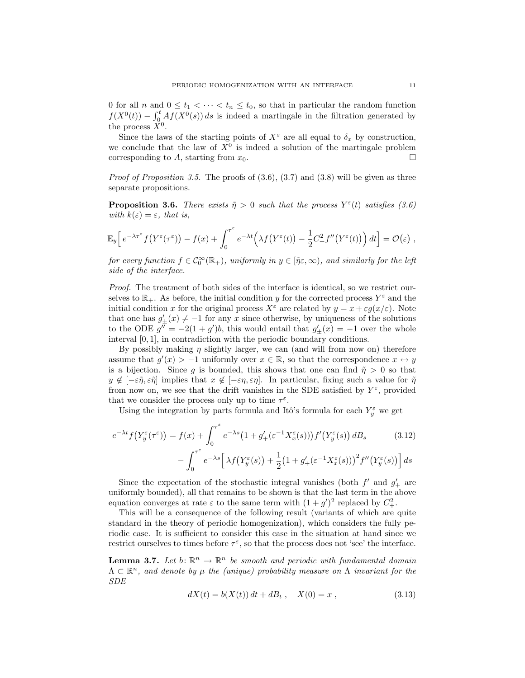0 for all n and  $0 \leq t_1 < \cdots < t_n \leq t_0$ , so that in particular the random function  $f(X^0(t)) - \int_0^t Af(X^0(s)) ds$  is indeed a martingale in the filtration generated by the process  $\check{X}^0$ .

Since the laws of the starting points of  $X^{\varepsilon}$  are all equal to  $\delta_x$  by construction, we conclude that the law of  $X^0$  is indeed a solution of the martingale problem corresponding to A, starting from  $x_0$ .

*Proof of Proposition 3.5.* The proofs of  $(3.6), (3.7)$  and  $(3.8)$  will be given as three separate propositions.

**Proposition 3.6.** There exists  $\tilde{\eta} > 0$  such that the process  $Y^{\varepsilon}(t)$  satisfies (3.6) with  $k(\varepsilon) = \varepsilon$ , that is,

$$
\mathbb{E}_y\Big[e^{-\lambda\tau^{\varepsilon}}f(Y^{\varepsilon}(\tau^{\varepsilon})) - f(x) + \int_0^{\tau^{\varepsilon}} e^{-\lambda t} \Big(\lambda f(Y^{\varepsilon}(t)) - \frac{1}{2}C_+^2f''(Y^{\varepsilon}(t))\Big) dt\Big] = \mathcal{O}(\varepsilon),
$$

for every function  $f \in C_0^{\infty}(\mathbb{R}_+),$  uniformly in  $y \in [\tilde{\eta} \varepsilon, \infty)$ , and similarly for the left side of the interface.

Proof. The treatment of both sides of the interface is identical, so we restrict ourselves to  $\mathbb{R}_+$ . As before, the initial condition y for the corrected process  $Y^{\varepsilon}$  and the initial condition x for the original process  $X^{\varepsilon}$  are related by  $y = x + \varepsilon g(x/\varepsilon)$ . Note that one has  $g'_{\pm}(x) \neq -1$  for any x since otherwise, by uniqueness of the solutions to the ODE  $g'' = -2(1+g')b$ , this would entail that  $g'_{\pm}(x) = -1$  over the whole interval [0, 1], in contradiction with the periodic boundary conditions.

By possibly making  $\eta$  slightly larger, we can (and will from now on) therefore assume that  $g'(x) > -1$  uniformly over  $x \in \mathbb{R}$ , so that the correspondence  $x \leftrightarrow y$ is a bijection. Since g is bounded, this shows that one can find  $\tilde{\eta} > 0$  so that  $y \notin [-\varepsilon \tilde{\eta}, \varepsilon \tilde{\eta}]$  implies that  $x \notin [-\varepsilon \eta, \varepsilon \eta]$ . In particular, fixing such a value for  $\tilde{\eta}$ from now on, we see that the drift vanishes in the SDE satisfied by  $Y^{\varepsilon}$ , provided that we consider the process only up to time  $\tau^{\varepsilon}$ .

Using the integration by parts formula and Itô's formula for each  $Y_y^{\varepsilon}$  we get

$$
e^{-\lambda t} f\big(Y_y^{\varepsilon}(\tau^{\varepsilon})\big) = f(x) + \int_0^{\tau^{\varepsilon}} e^{-\lambda s} \big(1 + g'_+(\varepsilon^{-1} X_x^{\varepsilon}(s))\big) f'\big(Y_y^{\varepsilon}(s)\big) \, dB_s \tag{3.12}
$$

$$
-\int_0^{\tau^\varepsilon} e^{-\lambda s} \left[ \lambda f(Y^\varepsilon_y(s)) + \frac{1}{2} \left( 1 + g'_+(\varepsilon^{-1} X^\varepsilon_x(s)) \right)^2 f''(Y^\varepsilon_y(s)) \right] ds
$$

Since the expectation of the stochastic integral vanishes (both  $f'$  and  $g'_{+}$  are uniformly bounded), all that remains to be shown is that the last term in the above equation converges at rate  $\varepsilon$  to the same term with  $(1+g')^2$  replaced by  $C^2_+$ .

This will be a consequence of the following result (variants of which are quite standard in the theory of periodic homogenization), which considers the fully periodic case. It is sufficient to consider this case in the situation at hand since we restrict ourselves to times before  $\tau^{\varepsilon}$ , so that the process does not 'see' the interface.

**Lemma 3.7.** Let  $b: \mathbb{R}^n \to \mathbb{R}^n$  be smooth and periodic with fundamental domain  $\Lambda \subset \mathbb{R}^n$ , and denote by  $\mu$  the (unique) probability measure on  $\Lambda$  invariant for the SDE

$$
dX(t) = b(X(t)) dt + dB_t , \quad X(0) = x , \qquad (3.13)
$$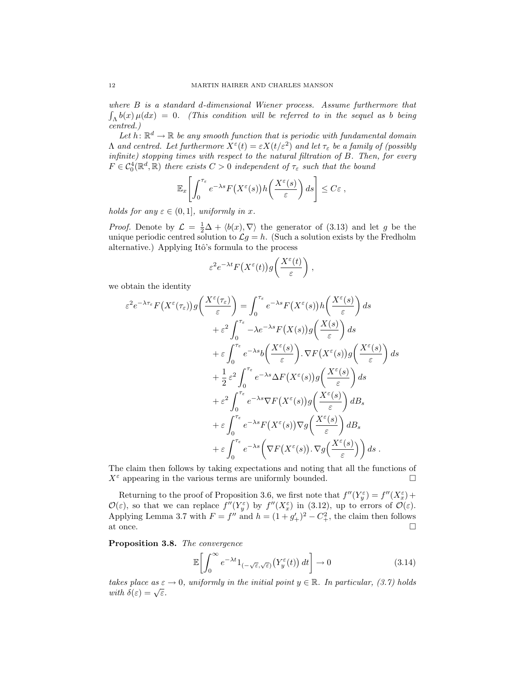where B is a standard d-dimensional Wiener process. Assume furthermore that  $\int_{\Lambda} b(x) \mu(dx) = 0$ . (This condition will be referred to in the sequel as b being centred.)

Let  $h: \mathbb{R}^d \to \mathbb{R}$  be any smooth function that is periodic with fundamental domain  $\Lambda$  and centred. Let furthermore  $X^{\varepsilon}(t) = \varepsilon X(t/\varepsilon^2)$  and let  $\tau_{\varepsilon}$  be a family of (possibly infinite) stopping times with respect to the natural filtration of B. Then, for every  $F \in \mathcal{C}_0^4(\mathbb{R}^d, \mathbb{R})$  there exists  $C > 0$  independent of  $\tau_{\varepsilon}$  such that the bound

$$
\mathbb{E}_x\left[\int_0^{\tau_{\varepsilon}} e^{-\lambda s} F\big(X^{\varepsilon}(s)\big) h\bigg(\frac{X^{\varepsilon}(s)}{\varepsilon}\bigg) ds\right] \leq C\varepsilon,
$$

holds for any  $\varepsilon \in (0,1]$ , uniformly in x.

*Proof.* Denote by  $\mathcal{L} = \frac{1}{2}\Delta + \langle b(x), \nabla \rangle$  the generator of (3.13) and let g be the unique periodic centred solution to  $\mathcal{L}g = h$ . (Such a solution exists by the Fredholm alternative.) Applying Itô's formula to the process

$$
\varepsilon^2 e^{-\lambda t} F\big(X^{\varepsilon}(t)\big)g\bigg(\frac{X^{\varepsilon}(t)}{\varepsilon}\bigg) ,
$$

we obtain the identity

$$
\varepsilon^{2} e^{-\lambda \tau_{\varepsilon}} F(X^{\varepsilon}(\tau_{\varepsilon})) g\left(\frac{X^{\varepsilon}(\tau_{\varepsilon})}{\varepsilon}\right) = \int_{0}^{\tau_{\varepsilon}} e^{-\lambda s} F(X^{\varepsilon}(s)) h\left(\frac{X^{\varepsilon}(s)}{\varepsilon}\right) ds \n+ \varepsilon^{2} \int_{0}^{\tau_{\varepsilon}} -\lambda e^{-\lambda s} F(X(s)) g\left(\frac{X(s)}{\varepsilon}\right) ds \n+ \varepsilon \int_{0}^{\tau_{\varepsilon}} e^{-\lambda s} b\left(\frac{X^{\varepsilon}(s)}{\varepsilon}\right) \cdot \nabla F(X^{\varepsilon}(s)) g\left(\frac{X^{\varepsilon}(s)}{\varepsilon}\right) ds \n+ \frac{1}{2} \varepsilon^{2} \int_{0}^{\tau_{\varepsilon}} e^{-\lambda s} \Delta F(X^{\varepsilon}(s)) g\left(\frac{X^{\varepsilon}(s)}{\varepsilon}\right) ds \n+ \varepsilon^{2} \int_{0}^{\tau_{\varepsilon}} e^{-\lambda s} \nabla F(X^{\varepsilon}(s)) g\left(\frac{X^{\varepsilon}(s)}{\varepsilon}\right) dB_{s} \n+ \varepsilon \int_{0}^{\tau_{\varepsilon}} e^{-\lambda s} F(X^{\varepsilon}(s)) \nabla g\left(\frac{X^{\varepsilon}(s)}{\varepsilon}\right) dB_{s} \n+ \varepsilon \int_{0}^{\tau_{\varepsilon}} e^{-\lambda s} \left(\nabla F(X^{\varepsilon}(s)) \cdot \nabla g\left(\frac{X^{\varepsilon}(s)}{\varepsilon}\right)\right) ds .
$$

The claim then follows by taking expectations and noting that all the functions of  $X^{\varepsilon}$  appearing in the various terms are uniformly bounded.  $\square$ 

Returning to the proof of Proposition 3.6, we first note that  $f''(Y_g^{\varepsilon}) = f''(X_g^{\varepsilon}) +$  $\mathcal{O}(\varepsilon)$ , so that we can replace  $f''(Y_g^{\varepsilon})$  by  $f''(X_g^{\varepsilon})$  in (3.12), up to errors of  $\mathcal{O}(\varepsilon)$ . Applying Lemma 3.7 with  $F = f''$  and  $h = (1 + g'_+)^2 - C_+^2$ , the claim then follows at once.  $\Box$ 

Proposition 3.8. The convergence

$$
\mathbb{E}\left[\int_0^\infty e^{-\lambda t} 1_{(-\sqrt{\varepsilon}, \sqrt{\varepsilon})} \left(Y_y^\varepsilon(t)\right) dt\right] \to 0\tag{3.14}
$$

takes place as  $\varepsilon \to 0$ , uniformly in the initial point  $y \in \mathbb{R}$ . In particular, (3.7) holds takes place as  $\varepsilon$ <br>with  $\delta(\varepsilon) = \sqrt{\varepsilon}$ .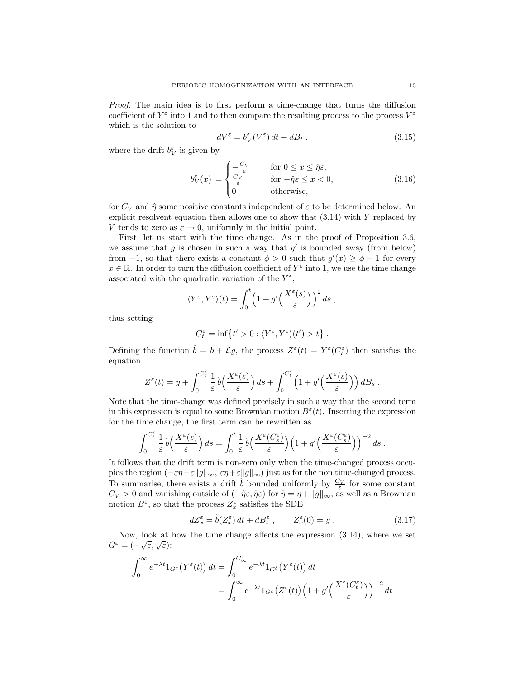Proof. The main idea is to first perform a time-change that turns the diffusion coefficient of  $Y^{\varepsilon}$  into 1 and to then compare the resulting process to the process  $V^{\varepsilon}$ which is the solution to

$$
dV^{\varepsilon} = b_V^{\varepsilon}(V^{\varepsilon}) dt + dB_t , \qquad (3.15)
$$

where the drift  $b_V^{\varepsilon}$  is given by

$$
b_V^{\varepsilon}(x) = \begin{cases} -\frac{C_V}{\varepsilon} & \text{for } 0 \le x \le \hat{\eta} \varepsilon, \\ \frac{C_V}{\varepsilon} & \text{for } -\hat{\eta} \varepsilon \le x < 0, \\ 0 & \text{otherwise,} \end{cases}
$$
(3.16)

for  $C_V$  and  $\hat{\eta}$  some positive constants independent of  $\varepsilon$  to be determined below. An explicit resolvent equation then allows one to show that (3.14) with Y replaced by V tends to zero as  $\varepsilon \to 0$ , uniformly in the initial point.

First, let us start with the time change. As in the proof of Proposition 3.6, we assume that  $g$  is chosen in such a way that  $g'$  is bounded away (from below) from  $-1$ , so that there exists a constant  $\phi > 0$  such that  $g'(x) \ge \phi - 1$  for every  $x \in \mathbb{R}$ . In order to turn the diffusion coefficient of  $Y^{\varepsilon}$  into 1, we use the time change associated with the quadratic variation of the  $Y^{\varepsilon}$ ,

$$
\langle Y^{\varepsilon}, Y^{\varepsilon} \rangle(t) = \int_0^t \left(1 + g'\left(\frac{X^{\varepsilon}(s)}{\varepsilon}\right)\right)^2 ds,
$$

thus setting

$$
C^{\varepsilon}_t=\inf\left\{t'>0: \langle Y^{\varepsilon},Y^{\varepsilon}\rangle(t')>t\right\}\,.
$$

Defining the function  $\hat{b} = b + \mathcal{L}g$ , the process  $Z^{\varepsilon}(t) = Y^{\varepsilon}(C_t^{\varepsilon})$  then satisfies the equation

$$
Z^{\varepsilon}(t) = y + \int_0^{C_t^{\varepsilon}} \frac{1}{\varepsilon} \hat{b}\left(\frac{X^{\varepsilon}(s)}{\varepsilon}\right) ds + \int_0^{C_t^{\varepsilon}} \left(1 + g'\left(\frac{X^{\varepsilon}(s)}{\varepsilon}\right)\right) dB_s.
$$

Note that the time-change was defined precisely in such a way that the second term in this expression is equal to some Brownian motion  $B^{\varepsilon}(t)$ . Inserting the expression for the time change, the first term can be rewritten as

$$
\int_0^{C_t^{\varepsilon}} \frac{1}{\varepsilon} \, \hat{b}\Big(\frac{X^{\varepsilon}(s)}{\varepsilon}\Big) \, ds = \int_0^t \frac{1}{\varepsilon} \, \hat{b}\Big(\frac{X^{\varepsilon}(C_s^{\varepsilon})}{\varepsilon}\Big) \Big(1 + g'\Big(\frac{X^{\varepsilon}(C_s^{\varepsilon})}{\varepsilon}\Big)\Big)^{-2} \, ds \; .
$$

It follows that the drift term is non-zero only when the time-changed process occupies the region  $(-\varepsilon\eta-\varepsilon\|g\|_{\infty}, \varepsilon\eta+\varepsilon\|g\|_{\infty})$  just as for the non time-changed process. To summarise, there exists a drift  $\tilde{b}$  bounded uniformly by  $\frac{C_V}{\varepsilon}$  for some constant  $C_V > 0$  and vanishing outside of  $(-\tilde{\eta} \varepsilon, \tilde{\eta} \varepsilon)$  for  $\tilde{\eta} = \eta + ||g||_{\infty}$ , as well as a Brownian motion  $B^{\varepsilon}$ , so that the process  $Z^{\varepsilon}_x$  satisfies the SDE

$$
dZ_x^{\varepsilon} = \tilde{b}(Z_x^{\varepsilon}) dt + dB_t^{\varepsilon} , \qquad Z_x^{\varepsilon}(0) = y . \qquad (3.17)
$$

Now, look at how the time change affects the expression  $(3.14)$ , where we set Now, look at  $G^{\varepsilon} = (-\sqrt{\varepsilon}, \sqrt{\varepsilon})$ :

$$
\int_0^\infty e^{-\lambda t} 1_{G^\varepsilon}(Y^\varepsilon(t)) dt = \int_0^{C^\varepsilon_\infty} e^{-\lambda t} 1_{G^\delta}(Y^\varepsilon(t)) dt
$$
  
= 
$$
\int_0^\infty e^{-\lambda t} 1_{G^\varepsilon}(Z^\varepsilon(t)) \left(1 + g'\left(\frac{X^\varepsilon(C_t^\varepsilon)}{\varepsilon}\right)\right)^{-2} dt
$$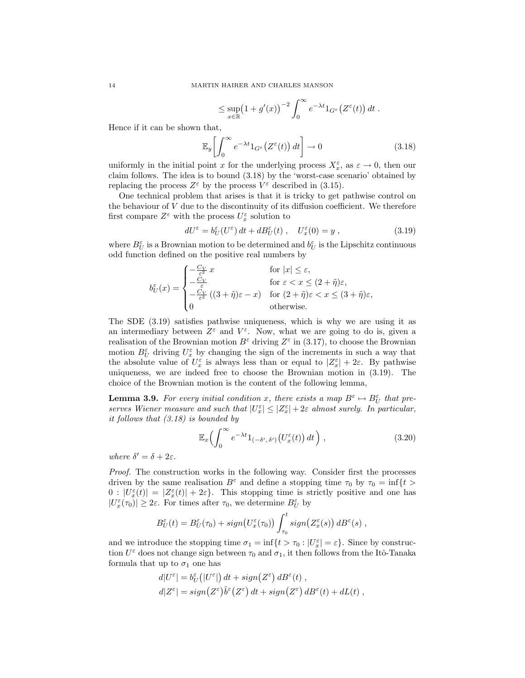$$
\leq \sup_{x\in\mathbb{R}} \left(1+g'(x)\right)^{-2} \int_0^\infty e^{-\lambda t} 1_{G^\varepsilon}(Z^\varepsilon(t)) dt.
$$

Hence if it can be shown that,

$$
\mathbb{E}_y \left[ \int_0^\infty e^{-\lambda t} 1_{G^\varepsilon}(Z^\varepsilon(t)) dt \right] \to 0 \tag{3.18}
$$

uniformly in the initial point x for the underlying process  $X_x^{\varepsilon}$ , as  $\varepsilon \to 0$ , then our claim follows. The idea is to bound (3.18) by the 'worst-case scenario' obtained by replacing the process  $Z^{\varepsilon}$  by the process  $V^{\varepsilon}$  described in (3.15).

One technical problem that arises is that it is tricky to get pathwise control on the behaviour of V due to the discontinuity of its diffusion coefficient. We therefore first compare  $Z^{\varepsilon}$  with the process  $U^{\varepsilon}_x$  solution to

$$
dU^{\varepsilon} = b_U^{\varepsilon}(U^{\varepsilon}) dt + dB_U^{\varepsilon}(t) , \quad U_x^{\varepsilon}(0) = y , \qquad (3.19)
$$

where  $B_U^{\varepsilon}$  is a Brownian motion to be determined and  $b_U^{\varepsilon}$  is the Lipschitz continuous odd function defined on the positive real numbers by

$$
b_{U}^{\varepsilon}(x) = \begin{cases} -\frac{C_{V}}{\varepsilon^{2}} x & \text{for } |x| \leq \varepsilon, \\ -\frac{C_{V}}{\varepsilon} & \text{for } \varepsilon < x \leq (2 + \tilde{\eta})\varepsilon, \\ -\frac{C_{V}}{\varepsilon^{2}} ((3 + \tilde{\eta})\varepsilon - x) & \text{for } (2 + \tilde{\eta})\varepsilon < x \leq (3 + \tilde{\eta})\varepsilon, \\ 0 & \text{otherwise.} \end{cases}
$$

The SDE (3.19) satisfies pathwise uniqueness, which is why we are using it as an intermediary between  $Z^{\varepsilon}$  and  $V^{\varepsilon}$ . Now, what we are going to do is, given a realisation of the Brownian motion  $B^{\varepsilon}$  driving  $Z^{\varepsilon}$  in (3.17), to choose the Brownian motion  $B_U^{\varepsilon}$  driving  $U_x^{\varepsilon}$  by changing the sign of the increments in such a way that the absolute value of  $U_x^{\varepsilon}$  is always less than or equal to  $|Z_x^{\varepsilon}| + 2\varepsilon$ . By pathwise uniqueness, we are indeed free to choose the Brownian motion in (3.19). The choice of the Brownian motion is the content of the following lemma,

**Lemma 3.9.** For every initial condition x, there exists a map  $B^{\varepsilon} \mapsto B_U^{\varepsilon}$  that preserves Wiener measure and such that  $|U_x^{\varepsilon}| \leq |Z_x^{\varepsilon}| + 2\varepsilon$  almost surely. In particular, it follows that (3.18) is bounded by

$$
\mathbb{E}_x \left( \int_0^\infty e^{-\lambda t} 1_{(-\delta',\delta')} \left( U_x^{\varepsilon}(t) \right) dt \right), \tag{3.20}
$$

where  $\delta' = \delta + 2\varepsilon$ .

Proof. The construction works in the following way. Consider first the processes driven by the same realisation  $B^{\varepsilon}$  and define a stopping time  $\tau_0$  by  $\tau_0 = \inf\{t >$  $0: |U_x^{\varepsilon}(t)| = |Z_x^{\varepsilon}(t)| + 2\varepsilon$ . This stopping time is strictly positive and one has  $|U_x^{\varepsilon}(\tau_0)| \geq 2\varepsilon$ . For times after  $\tau_0$ , we determine  $B_U^{\varepsilon}$  by

$$
B_U^{\varepsilon}(t) = B_U^{\varepsilon}(\tau_0) + sign(U_x^{\varepsilon}(\tau_0)) \int_{\tau_0}^t sign(Z_x^{\varepsilon}(s)) dB^{\varepsilon}(s) ,
$$

and we introduce the stopping time  $\sigma_1 = \inf\{t > \tau_0 : |U_x^{\varepsilon}| = \varepsilon\}$ . Since by construction  $U^{\varepsilon}$  does not change sign between  $\tau_0$  and  $\sigma_1$ , it then follows from the Itô-Tanaka formula that up to  $\sigma_1$  one has

$$
d|U^{\varepsilon}| = b_U^{\varepsilon}(|U^{\varepsilon}|) dt + sign(Z^{\varepsilon}) dB^{\varepsilon}(t) ,
$$
  

$$
d|Z^{\varepsilon}| = sign(Z^{\varepsilon})\tilde{b}^{\varepsilon}(Z^{\varepsilon}) dt + sign(Z^{\varepsilon}) dB^{\varepsilon}(t) + dL(t) ,
$$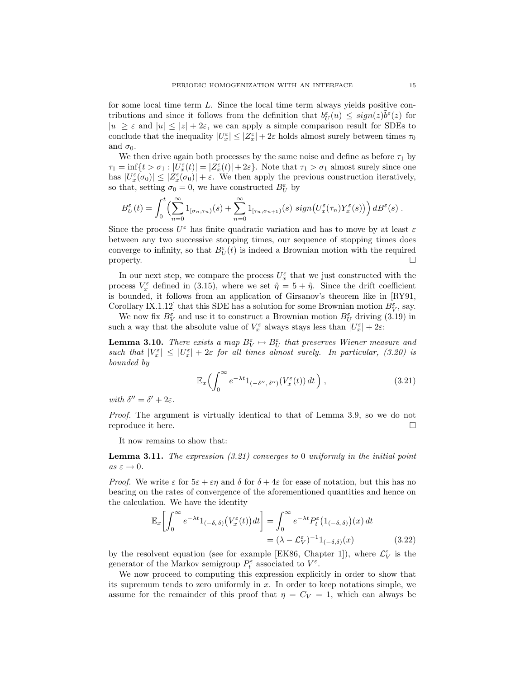for some local time term L. Since the local time term always yields positive contributions and since it follows from the definition that  $b_{U}^{\varepsilon}(u) \leq sign(z)\tilde{b}^{\varepsilon}(z)$  for  $|u| \geq \varepsilon$  and  $|u| \leq |z| + 2\varepsilon$ , we can apply a simple comparison result for SDEs to conclude that the inequality  $|U_x^{\varepsilon}| \leq |Z_x^{\varepsilon}| + 2\varepsilon$  holds almost surely between times  $\tau_0$ and  $\sigma_0$ .

We then drive again both processes by the same noise and define as before  $\tau_1$  by  $\tau_1 = \inf\{t > \sigma_1 : |U_x^{\varepsilon}(t)| = |Z_x^{\varepsilon}(t)| + 2\varepsilon\}.$  Note that  $\tau_1 > \sigma_1$  almost surely since one has  $|U_x^{\varepsilon}(\sigma_0)| \leq |Z_x^{\varepsilon}(\sigma_0)| + \varepsilon$ . We then apply the previous construction iteratively, so that, setting  $\sigma_0 = 0$ , we have constructed  $B_U^{\varepsilon}$  by

$$
B_U^{\varepsilon}(t) = \int_0^t \left( \sum_{n=0}^{\infty} 1_{[\sigma_n, \tau_n)}(s) + \sum_{n=0}^{\infty} 1_{[\tau_n, \sigma_{n+1})}(s) \ sign\big(U_x^{\varepsilon}(\tau_n) Y_x^{\varepsilon}(s)\big)\right) d B^{\varepsilon}(s) .
$$

Since the process  $U^{\varepsilon}$  has finite quadratic variation and has to move by at least  $\varepsilon$ between any two successive stopping times, our sequence of stopping times does converge to infinity, so that  $B_U^{\varepsilon}(t)$  is indeed a Brownian motion with the required property.  $\Box$ 

In our next step, we compare the process  $U_x^{\varepsilon}$  that we just constructed with the process  $V_x^{\varepsilon}$  defined in (3.15), where we set  $\hat{\eta} = 5 + \tilde{\eta}$ . Since the drift coefficient is bounded, it follows from an application of Girsanov's theorem like in [RY91, Corollary IX.1.12] that this SDE has a solution for some Brownian motion  $B_V^{\varepsilon}$ , say.

We now fix  $B_V^{\varepsilon}$  and use it to construct a Brownian motion  $B_U^{\varepsilon}$  driving (3.19) in such a way that the absolute value of  $V_x^{\varepsilon}$  always stays less than  $|U_x^{\varepsilon}| + 2\varepsilon$ :

**Lemma 3.10.** There exists a map  $B_V^{\varepsilon} \mapsto B_U^{\varepsilon}$  that preserves Wiener measure and such that  $|V_x^{\varepsilon}| \leq |U_x^{\varepsilon}| + 2\varepsilon$  for all times almost surely. In particular, (3.20) is bounded by

$$
\mathbb{E}_x \left( \int_0^\infty e^{-\lambda t} 1_{(-\delta'',\delta'')}(V_x^{\varepsilon}(t)) dt \right), \tag{3.21}
$$

with  $\delta'' = \delta' + 2\varepsilon$ .

Proof. The argument is virtually identical to that of Lemma 3.9, so we do not reproduce it here.

It now remains to show that:

**Lemma 3.11.** The expression  $(3.21)$  converges to 0 uniformly in the initial point  $as \varepsilon \to 0.$ 

*Proof.* We write  $\varepsilon$  for  $5\varepsilon + \varepsilon\eta$  and  $\delta$  for  $\delta + 4\varepsilon$  for ease of notation, but this has no bearing on the rates of convergence of the aforementioned quantities and hence on the calculation. We have the identity

$$
\mathbb{E}_x \left[ \int_0^\infty e^{-\lambda t} 1_{(-\delta,\delta)} \left( V_x^\varepsilon(t) \right) dt \right] = \int_0^\infty e^{-\lambda t} P_t^\varepsilon \left( 1_{(-\delta,\delta)} \right)(x) dt
$$
  
=  $(\lambda - \mathcal{L}_V^\varepsilon)^{-1} 1_{(-\delta,\delta)}(x)$  (3.22)

by the resolvent equation (see for example [EK86, Chapter 1]), where  $\mathcal{L}_V^{\varepsilon}$  is the generator of the Markov semigroup  $P_t^{\varepsilon}$  associated to  $V^{\varepsilon}$ .

We now proceed to computing this expression explicitly in order to show that its supremum tends to zero uniformly in  $x$ . In order to keep notations simple, we assume for the remainder of this proof that  $\eta = C_V = 1$ , which can always be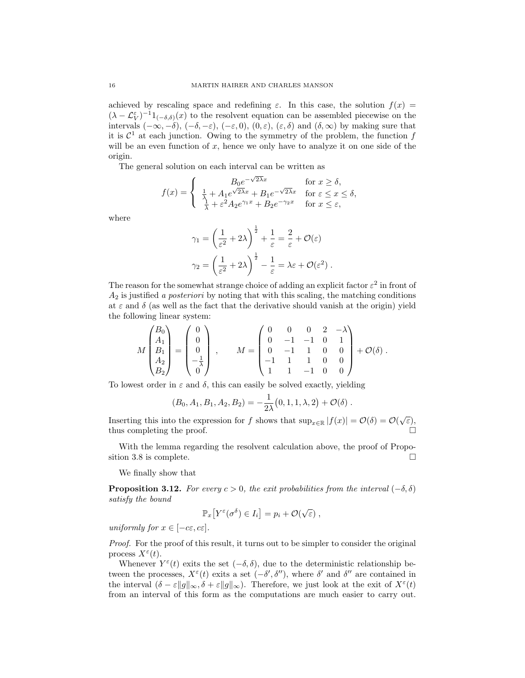achieved by rescaling space and redefining  $\varepsilon$ . In this case, the solution  $f(x)$  $(\lambda - \mathcal{L}_V^{\varepsilon})^{-1}1_{(-\delta,\delta)}(x)$  to the resolvent equation can be assembled piecewise on the intervals  $(-\infty, -\delta)$ ,  $(-\delta, -\varepsilon)$ ,  $(-\varepsilon, 0)$ ,  $(0, \varepsilon)$ ,  $(\varepsilon, \delta)$  and  $(\delta, \infty)$  by making sure that it is  $\mathcal{C}^1$  at each junction. Owing to the symmetry of the problem, the function f will be an even function of  $x$ , hence we only have to analyze it on one side of the origin.

The general solution on each interval can be written as

$$
f(x) = \begin{cases} B_0 e^{-\sqrt{2\lambda}x} & \text{for } x \ge \delta, \\ \frac{1}{\lambda} + A_1 e^{\sqrt{2\lambda}x} + B_1 e^{-\sqrt{2\lambda}x} & \text{for } \varepsilon \le x \le \delta, \\ \frac{1}{\lambda} + \varepsilon^2 A_2 e^{\gamma_1 x} + B_2 e^{-\gamma_2 x} & \text{for } x \le \varepsilon, \end{cases}
$$

where

$$
\gamma_1 = \left(\frac{1}{\varepsilon^2} + 2\lambda\right)^{\frac{1}{2}} + \frac{1}{\varepsilon} = \frac{2}{\varepsilon} + \mathcal{O}(\varepsilon)
$$

$$
\gamma_2 = \left(\frac{1}{\varepsilon^2} + 2\lambda\right)^{\frac{1}{2}} - \frac{1}{\varepsilon} = \lambda\varepsilon + \mathcal{O}(\varepsilon^2) .
$$

The reason for the somewhat strange choice of adding an explicit factor  $\varepsilon^2$  in front of  $A_2$  is justified a posteriori by noting that with this scaling, the matching conditions at  $\varepsilon$  and  $\delta$  (as well as the fact that the derivative should vanish at the origin) yield the following linear system:

$$
M\begin{pmatrix} B_0 \\ A_1 \\ B_1 \\ A_2 \\ B_2 \end{pmatrix} = \begin{pmatrix} 0 \\ 0 \\ 0 \\ -\frac{1}{\lambda} \\ 0 \end{pmatrix} , \qquad M = \begin{pmatrix} 0 & 0 & 0 & 2 & -\lambda \\ 0 & -1 & -1 & 0 & 1 \\ 0 & -1 & 1 & 0 & 0 \\ -1 & 1 & 1 & 0 & 0 \\ 1 & 1 & -1 & 0 & 0 \end{pmatrix} + \mathcal{O}(\delta) .
$$

To lowest order in  $\varepsilon$  and  $\delta$ , this can easily be solved exactly, yielding

$$
(B_0, A_1, B_1, A_2, B_2) = -\frac{1}{2\lambda}(0, 1, 1, \lambda, 2) + \mathcal{O}(\delta).
$$

Inserting this into the expression for f shows that  $\sup_{x \in \mathbb{R}} |f(x)| = \mathcal{O}(\delta) = \mathcal{O}(\sqrt{\varepsilon}),$ thus completing the proof.  $\Box$ 

With the lemma regarding the resolvent calculation above, the proof of Proposition 3.8 is complete.  $\Box$ 

We finally show that

**Proposition 3.12.** For every  $c > 0$ , the exit probabilities from the interval  $(-\delta, \delta)$ satisfy the bound

$$
\mathbb{P}_x\big[ Y^{\varepsilon}(\sigma^{\delta}) \in I_i\big] = p_i + \mathcal{O}(\sqrt{\varepsilon}) \;,
$$

uniformly for  $x \in [-c\varepsilon, c\varepsilon]$ .

Proof. For the proof of this result, it turns out to be simpler to consider the original process  $X^{\varepsilon}(t)$ .

Whenever  $Y^{\varepsilon}(t)$  exits the set  $(-\delta, \delta)$ , due to the deterministic relationship between the processes,  $X^{\varepsilon}(t)$  exits a set  $(-\delta', \delta'')$ , where  $\delta'$  and  $\delta''$  are contained in the interval  $(\delta - \varepsilon ||g||_{\infty}, \delta + \varepsilon ||g||_{\infty})$ . Therefore, we just look at the exit of  $X^{\varepsilon}(t)$ from an interval of this form as the computations are much easier to carry out.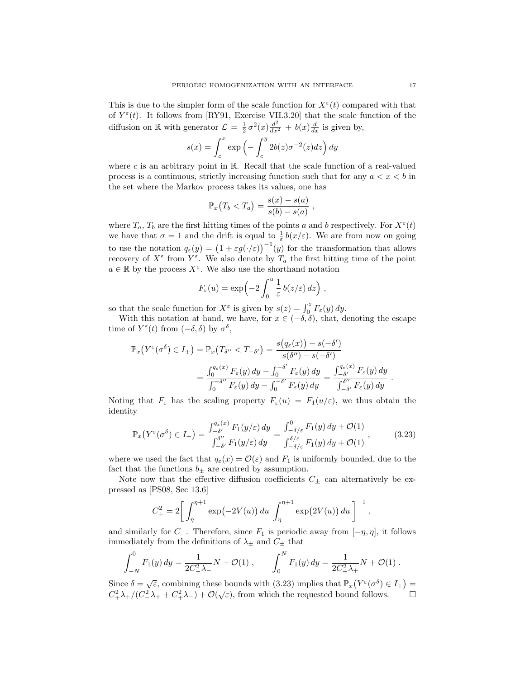This is due to the simpler form of the scale function for  $X^{\varepsilon}(t)$  compared with that of  $Y^{\varepsilon}(t)$ . It follows from [RY91, Exercise VII.3.20] that the scale function of the diffusion on R with generator  $\mathcal{L} = \frac{1}{2} \sigma^2(x) \frac{d^2}{dx^2} + b(x) \frac{d}{dx}$  is given by,

$$
s(x) = \int_c^x \exp\left(-\int_c^y 2b(z)\sigma^{-2}(z)dz\right)dy
$$

where c is an arbitrary point in  $\mathbb{R}$ . Recall that the scale function of a real-valued process is a continuous, strictly increasing function such that for any  $a < x < b$  in the set where the Markov process takes its values, one has

$$
\mathbb{P}_x(T_b < T_a) = \frac{s(x) - s(a)}{s(b) - s(a)},
$$

where  $T_a$ ,  $T_b$  are the first hitting times of the points a and b respectively. For  $X^{\varepsilon}(t)$ we have that  $\sigma = 1$  and the drift is equal to  $\frac{1}{\varepsilon} b(x/\varepsilon)$ . We are from now on going to use the notation  $q_{\varepsilon}(y) = (1 + \varepsilon g(\cdot/\varepsilon))^{-1}(y)$  for the transformation that allows recovery of  $X^{\varepsilon}$  from  $Y^{\varepsilon}$ . We also denote by  $T_a$  the first hitting time of the point  $a \in \mathbb{R}$  by the process  $X^{\varepsilon}$ . We also use the shorthand notation

$$
F_{\varepsilon}(u) = \exp\left(-2\int_0^u \frac{1}{\varepsilon} b(z/\varepsilon) dz\right),
$$

so that the scale function for  $X^{\varepsilon}$  is given by  $s(z) = \int_0^z F_{\varepsilon}(y) dy$ .

With this notation at hand, we have, for  $x \in (-\delta, \delta)$ , that, denoting the escape time of  $Y^{\varepsilon}(t)$  from  $(-\delta, \delta)$  by  $\sigma^{\delta}$ ,

$$
\mathbb{P}_x\big(Y^{\varepsilon}(\sigma^{\delta})\in I_+\big)=\mathbb{P}_x\big(T_{\delta''}
$$
=\frac{\int_0^{q_{\varepsilon}(x)}F_{\varepsilon}(y)\,dy-\int_0^{-\delta'}F_{\varepsilon}(y)\,dy}{\int_0^{-\delta''}F_{\varepsilon}(y)\,dy-\int_0^{-\delta'}F_{\varepsilon}(y)\,dy}=\frac{\int_{-\delta'}^{q_{\varepsilon}(x)}F_{\varepsilon}(y)\,dy}{\int_{-\delta'}^{\delta''}F_{\varepsilon}(y)\,dy}.
$$
$$

Noting that  $F_{\varepsilon}$  has the scaling property  $F_{\varepsilon}(u) = F_1(u/\varepsilon)$ , we thus obtain the identity

$$
\mathbb{P}_x\big(Y^{\varepsilon}(\sigma^{\delta})\in I_+\big)=\frac{\int_{-\delta'}^{q_{\varepsilon}(x)}F_1(y/\varepsilon)\,dy}{\int_{-\delta'}^{\delta''}F_1(y/\varepsilon)\,dy}=\frac{\int_{-\delta/\varepsilon}^{0}F_1(y)\,dy+\mathcal{O}(1)}{\int_{-\delta/\varepsilon}^{\delta/\varepsilon}F_1(y)\,dy+\mathcal{O}(1)},\tag{3.23}
$$

,

where we used the fact that  $q_{\varepsilon}(x) = \mathcal{O}(\varepsilon)$  and  $F_1$  is uniformly bounded, due to the fact that the functions  $b_{\pm}$  are centred by assumption.

Note now that the effective diffusion coefficients  $C_{\pm}$  can alternatively be expressed as [PS08, Sec 13.6]

$$
C_{+}^{2} = 2 \left[ \int_{\eta}^{\eta+1} \exp(-2V(u)) du \int_{\eta}^{\eta+1} \exp(2V(u)) du \right]^{-1}
$$

and similarly for  $C_-\$ . Therefore, since  $F_1$  is periodic away from  $[-\eta, \eta]$ , it follows immediately from the definitions of  $\lambda_{\pm}$  and  $C_{\pm}$  that

$$
\int_{-N}^{0} F_1(y) dy = \frac{1}{2C_-^2 \lambda_-} N + \mathcal{O}(1) , \qquad \int_{0}^{N} F_1(y) dy = \frac{1}{2C_+^2 \lambda_+} N + \mathcal{O}(1) .
$$

Since  $\delta = \sqrt{\varepsilon}$ , combining these bounds with (3.23) implies that  $\mathbb{P}_x(Y^{\varepsilon}(\sigma^{\delta}) \in I_+) =$  $C_+^2 \lambda_+ / (C_-^2 \lambda_+ + C_+^2 \lambda_-) + \mathcal{O}(\sqrt{\varepsilon})$ , from which the requested bound follows.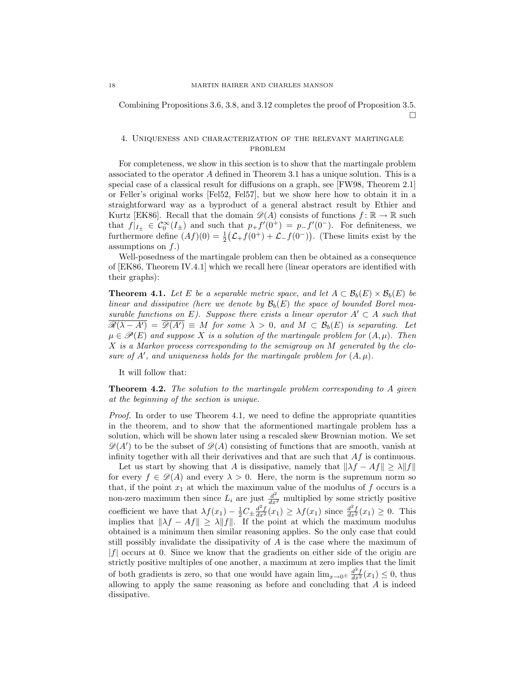Combining Propositions 3.6, 3.8, and 3.12 completes the proof of Proposition 3.5.  $\Box$ 

## 4. Uniqueness and characterization of the relevant martingale problem

For completeness, we show in this section is to show that the martingale problem associated to the operator A defined in Theorem 3.1 has a unique solution. This is a special case of a classical result for diffusions on a graph, see [FW98, Theorem 2.1] or Feller's original works [Fel52, Fel57], but we show here how to obtain it in a straightforward way as a byproduct of a general abstract result by Ethier and Kurtz [EK86]. Recall that the domain  $\mathscr{D}(A)$  consists of functions  $f : \mathbb{R} \to \mathbb{R}$  such that  $f|_{I_{\pm}} \in C_0^{\infty}(I_{\pm})$  and such that  $p_+ f'(0^+) = p_- f'(0^-)$ . For definiteness, we furthermore define  $(Af)(0) = \frac{1}{2}(\mathcal{L}_+ f(0^+) + \mathcal{L}_- f(0^-))$ . (These limits exist by the assumptions on  $f$ .)

Well-posedness of the martingale problem can then be obtained as a consequence of [EK86, Theorem IV.4.1] which we recall here (linear operators are identified with their graphs):

**Theorem 4.1.** Let E be a separable metric space, and let  $A \subset \mathcal{B}_b(E) \times \mathcal{B}_b(E)$  be linear and dissipative (here we denote by  $\mathcal{B}_b(E)$  the space of bounded Borel measurable functions on E). Suppose there exists a linear operator  $A' \subset A$  such that  $\overline{\mathscr{R}(\lambda - A')} = \overline{\mathscr{D}(A')} \equiv M$  for some  $\lambda > 0$ , and  $M \subset \mathcal{B}_b(E)$  is separating. Let  $\mu \in \mathscr{P}(E)$  and suppose X is a solution of the martingale problem for  $(A, \mu)$ . Then X is a Markov process corresponding to the semigroup on M generated by the closure of  $A'$ , and uniqueness holds for the martingale problem for  $(A, \mu)$ .

It will follow that:

**Theorem 4.2.** The solution to the martingale problem corresponding to A given at the beginning of the section is unique.

Proof. In order to use Theorem 4.1, we need to define the appropriate quantities in the theorem, and to show that the aformentioned martingale problem has a solution, which will be shown later using a rescaled skew Brownian motion. We set  $\mathscr{D}(A')$  to be the subset of  $\mathscr{D}(A)$  consisting of functions that are smooth, vanish at infinity together with all their derivatives and that are such that  $A f$  is continuous.

Let us start by showing that A is dissipative, namely that  $\|\lambda f - Af\| \ge \lambda \|f\|$ for every  $f \in \mathcal{D}(A)$  and every  $\lambda > 0$ . Here, the norm is the supremum norm so that, if the point  $x_1$  at which the maximum value of the modulus of  $f$  occurs is a non-zero maximum then since  $L_i$  are just  $\frac{d^2}{dx^2}$  multiplied by some strictly positive coefficient we have that  $\lambda f(x_1) - \frac{1}{2}C_{\pm} \frac{d^2 f}{dx^2}(x_1) \geq \lambda f(x_1)$  since  $\frac{d^2 f}{dx^2}(x_1) \geq 0$ . This implies that  $\|\lambda f - Af\| \ge \lambda \|f\|$ . If the point at which the maximum modulus obtained is a minimum then similar reasoning applies. So the only case that could still possibly invalidate the dissipativity of A is the case where the maximum of  $|f|$  occurs at 0. Since we know that the gradients on either side of the origin are strictly positive multiples of one another, a maximum at zero implies that the limit of both gradients is zero, so that one would have again  $\lim_{x\to 0^{\pm}} \frac{d^2f}{dx^2}(x_1) \leq 0$ , thus allowing to apply the same reasoning as before and concluding that  $A$  is indeed dissipative.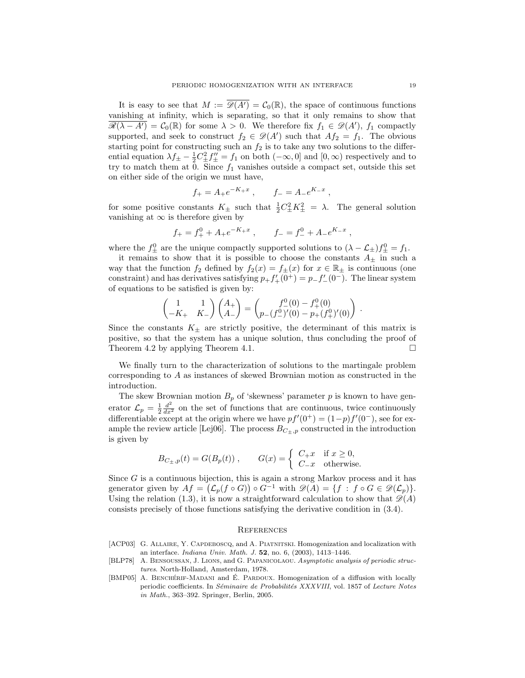It is easy to see that  $M := \overline{\mathscr{D}(A')} = \mathcal{C}_0(\mathbb{R})$ , the space of continuous functions vanishing at infinity, which is separating, so that it only remains to show that  $\overline{\mathscr{R}(\lambda - A')} = \mathcal{C}_0(\mathbb{R})$  for some  $\lambda > 0$ . We therefore fix  $f_1 \in \mathscr{D}(A')$ ,  $f_1$  compactly supported, and seek to construct  $f_2 \in \mathcal{D}(A')$  such that  $Af_2 = f_1$ . The obvious starting point for constructing such an  $f_2$  is to take any two solutions to the differential equation  $\lambda f_{\pm} - \frac{1}{2} C_{\pm}^2 f''_{\pm} = f_1$  on both  $(-\infty, 0]$  and  $[0, \infty)$  respectively and to try to match them at  $\overline{0}$ . Since  $f_1$  vanishes outside a compact set, outside this set on either side of the origin we must have,

$$
f_{+} = A_{+}e^{-K_{+}x}
$$
,  $f_{-} = A_{-}e^{K_{-}x}$ ,

for some positive constants  $K_{\pm}$  such that  $\frac{1}{2}C_{\pm}^2 K_{\pm}^2 = \lambda$ . The general solution vanishing at  $\infty$  is therefore given by

$$
f_{+} = f_{+}^{0} + A_{+}e^{-K_{+}x}
$$
,  $f_{-} = f_{-}^{0} + A_{-}e^{K_{-}x}$ ,

where the  $f_{\pm}^0$  are the unique compactly supported solutions to  $(\lambda - \mathcal{L}_{\pm}) f_{\pm}^0 = f_1$ .

it remains to show that it is possible to choose the constants  $A_{\pm}$  in such a way that the function  $f_2$  defined by  $f_2(x) = f_{\pm}(x)$  for  $x \in \mathbb{R}_{\pm}$  is continuous (one constraint) and has derivatives satisfying  $p_+ f'_+(0^+) = p_- f'_-(0^-)$ . The linear system of equations to be satisfied is given by:

$$
\begin{pmatrix} 1 & 1 \ -K_+ & K_- \end{pmatrix} \begin{pmatrix} A_+ \\ A_- \end{pmatrix} = \begin{pmatrix} f^0_-(0) - f^0_+(0) \\ p_-(f^0_-)'(0) - p_+(f^0_+)'(0) \end{pmatrix}
$$

Since the constants  $K_{\pm}$  are strictly positive, the determinant of this matrix is positive, so that the system has a unique solution, thus concluding the proof of Theorem 4.2 by applying Theorem 4.1.

We finally turn to the characterization of solutions to the martingale problem corresponding to A as instances of skewed Brownian motion as constructed in the introduction.

The skew Brownian motion  $B_p$  of 'skewness' parameter p is known to have generator  $\mathcal{L}_p = \frac{1}{2} \frac{d^2}{dx^2}$  on the set of functions that are continuous, twice continuously differentiable except at the origin where we have  $pf'(0^+) = (1-p)f'(0^-)$ , see for example the review article [Lej06]. The process  $B_{C_{\pm},p}$  constructed in the introduction is given by

$$
B_{C_{\pm},p}(t) = G(B_p(t)), \qquad G(x) = \begin{cases} C_{+}x & \text{if } x \ge 0, \\ C_{-}x & \text{otherwise.} \end{cases}
$$

Since  $G$  is a continuous bijection, this is again a strong Markov process and it has generator given by  $Af = (\mathcal{L}_p(f \circ G)) \circ G^{-1}$  with  $\mathscr{D}(A) = \{f : f \circ G \in \mathscr{D}(\mathcal{L}_p)\}.$ Using the relation (1.3), it is now a straightforward calculation to show that  $\mathscr{D}(A)$ consists precisely of those functions satisfying the derivative condition in (3.4).

### **REFERENCES**

- [ACP03] G. ALLAIRE, Y. CAPDEBOSCQ, and A. PIATNITSKI. Homogenization and localization with an interface. Indiana Univ. Math. J. 52, no. 6, (2003), 1413–1446.
- [BLP78] A. Bensoussan, J. Lions, and G. Papanicolaou. Asymptotic analysis of periodic structures. North-Holland, Amsterdam, 1978.
- [BMP05] A. BENCHÉRIF-MADANI and É. PARDOUX. Homogenization of a diffusion with locally periodic coefficients. In Séminaire de Probabilités XXXVIII, vol. 1857 of Lecture Notes in Math., 363–392. Springer, Berlin, 2005.

.